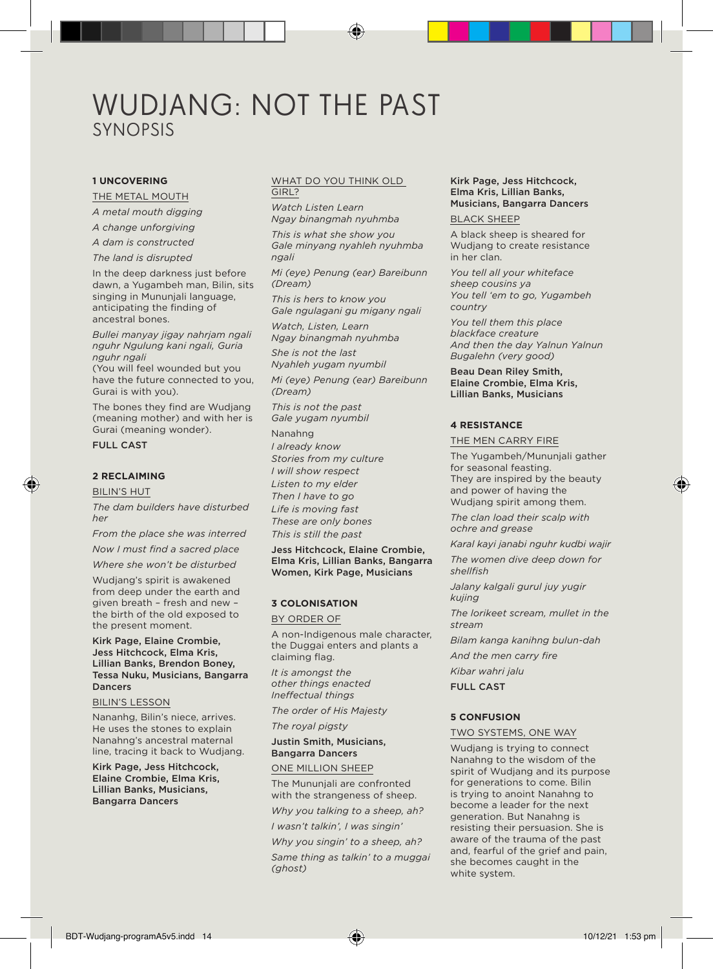# WUDJANG: NOT THE PAST SYNOPSIS

# **1 UNCOVERING**

THE METAL MOUTH

*A metal mouth digging*

*A change unforgiving*

*A dam is constructed*

*The land is disrupted*

In the deep darkness just before dawn, a Yugambeh man, Bilin, sits singing in Mununjali language, anticipating the finding of ancestral bones.

*Bullei manyay jigay nahrjam ngali nguhr Ngulung kani ngali, Guria nguhr ngali* 

(You will feel wounded but you have the future connected to you, Gurai is with you).

The bones they find are Wudjang (meaning mother) and with her is Gurai (meaning wonder).

# FULL CAST

# **2 RECLAIMING**

BILIN'S HUT

*The dam builders have disturbed her* 

*From the place she was interred* 

*Now I must find a sacred place* 

*Where she won't be disturbed* 

Wudjang's spirit is awakened from deep under the earth and given breath – fresh and new – the birth of the old exposed to the present moment.

Kirk Page, Elaine Crombie, Jess Hitchcock, Elma Kris, Lillian Banks, Brendon Boney, Tessa Nuku, Musicians, Bangarra Dancers

#### BILIN'S LESSON

Nananhg, Bilin's niece, arrives. He uses the stones to explain Nanahng's ancestral maternal line, tracing it back to Wudjang.

Kirk Page, Jess Hitchcock, Elaine Crombie, Elma Kris, Lillian Banks, Musicians, Bangarra Dancers

### WHAT DO YOU THINK OLD GIRL?

*Watch Listen Learn Ngay binangmah nyuhmba*

*This is what she show you Gale minyang nyahleh nyuhmba ngali* 

*Mi (eye) Penung (ear) Bareibunn (Dream)* 

*This is hers to know you Gale ngulagani gu migany ngali*

*Watch, Listen, Learn Ngay binangmah nyuhmba*

*She is not the last Nyahleh yugam nyumbil*

*Mi (eye) Penung (ear) Bareibunn (Dream)*

*This is not the past Gale yugam nyumbil*

Nanahng *I already know Stories from my culture I will show respect Listen to my elder Then I have to go Life is moving fast These are only bones This is still the past* 

Jess Hitchcock, Elaine Crombie, Elma Kris, Lillian Banks, Bangarra Women, Kirk Page, Musicians

# **3 COLONISATION**

BY ORDER OF

A non-Indigenous male character, the Duggai enters and plants a claiming flag.

*It is amongst the other things enacted Ineffectual things*

*The order of His Majesty*

*The royal pigsty* 

Justin Smith, Musicians, Bangarra Dancers

# ONE MILLION SHEEP

The Mununjali are confronted with the strangeness of sheep.

*Why you talking to a sheep, ah? I wasn't talkin', I was singin'*

*Why you singin' to a sheep, ah? Same thing as talkin' to a muggai (ghost)* 

# Kirk Page, Jess Hitchcock, Elma Kris, Lillian Banks, Musicians, Bangarra Dancers

# BLACK SHEEP

A black sheep is sheared for Wudjang to create resistance in her clan.

*You tell all your whiteface sheep cousins ya You tell 'em to go, Yugambeh country*

*You tell them this place blackface creature And then the day Yalnun Yalnun Bugalehn (very good)* 

Beau Dean Riley Smith, Elaine Crombie, Elma Kris, Lillian Banks, Musicians

# **4 RESISTANCE**

THE MEN CARRY FIRE

The Yugambeh/Mununjali gather for seasonal feasting. They are inspired by the beauty and power of having the Wudjang spirit among them.

*The clan load their scalp with ochre and grease* 

*Karal kayi janabi nguhr kudbi wajir* 

*The women dive deep down for shellfish* 

*Jalany kalgali gurul juy yugir kujing* 

*The lorikeet scream, mullet in the stream* 

*Bilam kanga kanihng bulun-dah* 

*And the men carry fire* 

*Kibar wahri jalu* 

FULL CAST

# **5 CONFUSION**

#### TWO SYSTEMS, ONE WAY

Wudjang is trying to connect Nanahng to the wisdom of the spirit of Wudjang and its purpose for generations to come. Bilin is trying to anoint Nanahng to become a leader for the next generation. But Nanahng is resisting their persuasion. She is aware of the trauma of the past and, fearful of the grief and pain, she becomes caught in the white system.